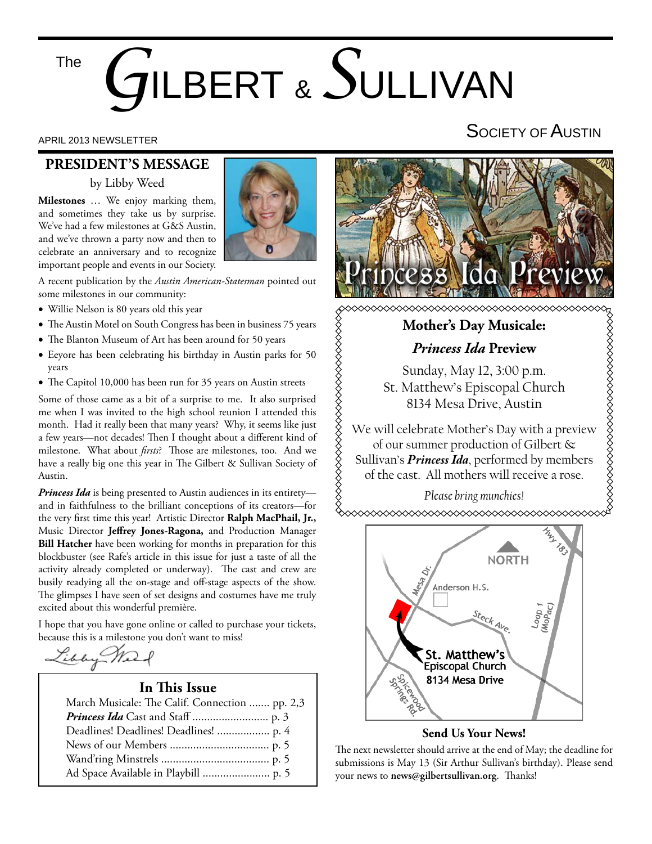# *G*ILBERT & *S*ULLIVAN The

#### **PRESIDENT'S MESSAGE**

by Libby Weed

**Milestones** … We enjoy marking them, and sometimes they take us by surprise. We've had a few milestones at G&S Austin, and we've thrown a party now and then to celebrate an anniversary and to recognize important people and events in our Society.



A recent publication by the *Austin American-Statesman* pointed out some milestones in our community:

- Willie Nelson is 80 years old this year
- The Austin Motel on South Congress has been in business 75 years
- The Blanton Museum of Art has been around for 50 years
- Eeyore has been celebrating his birthday in Austin parks for 50 years
- The Capitol 10,000 has been run for 35 years on Austin streets

Some of those came as a bit of a surprise to me. It also surprised me when I was invited to the high school reunion I attended this month. Had it really been that many years? Why, it seems like just a few years—not decades! Then I thought about a different kind of milestone. What about *firsts*? Those are milestones, too. And we have a really big one this year in The Gilbert & Sullivan Society of Austin.

*Princess Ida* is being presented to Austin audiences in its entirety and in faithfulness to the brilliant conceptions of its creators—for the very first time this year! Artistic Director Ralph MacPhail, Jr., Music Director **Jeffrey Jones-Ragona**, and Production Manager **Bill Hatcher** have been working for months in preparation for this blockbuster (see Rafe's article in this issue for just a taste of all the activity already completed or underway). The cast and crew are busily readying all the on-stage and off-stage aspects of the show. The glimpses I have seen of set designs and costumes have me truly excited about this wonderful première.

I hope that you have gone online or called to purchase your tickets, because this is a milestone you don't want to miss!

Libby Meet

### **In This Issue**

| March Musicale: The Calif. Connection  pp. 2,3 |
|------------------------------------------------|
|                                                |
| Deadlines! Deadlines! Deadlines!  p. 4         |
|                                                |
|                                                |
|                                                |

### APRIL 2013 NEWSLETTER AND RESERVE THE SOCIETY OF AUSTIN



**Mother's Day Musicale:**

*Princess Ida* **Preview**

Sunday, May 12, 3:00 p.m. St. Matthew's Episcopal Church 8134 Mesa Drive, Austin

We will celebrate Mother's Day with a preview of our summer production of Gilbert & Sullivan's *Princess Ida*, performed by members of the cast. All mothers will receive a rose.

*Please bring munchies!*



#### **Send Us Your News!**

The next newsletter should arrive at the end of May; the deadline for submissions is May 13 (Sir Arthur Sullivan's birthday). Please send your news to news@gilbertsullivan.org. Thanks!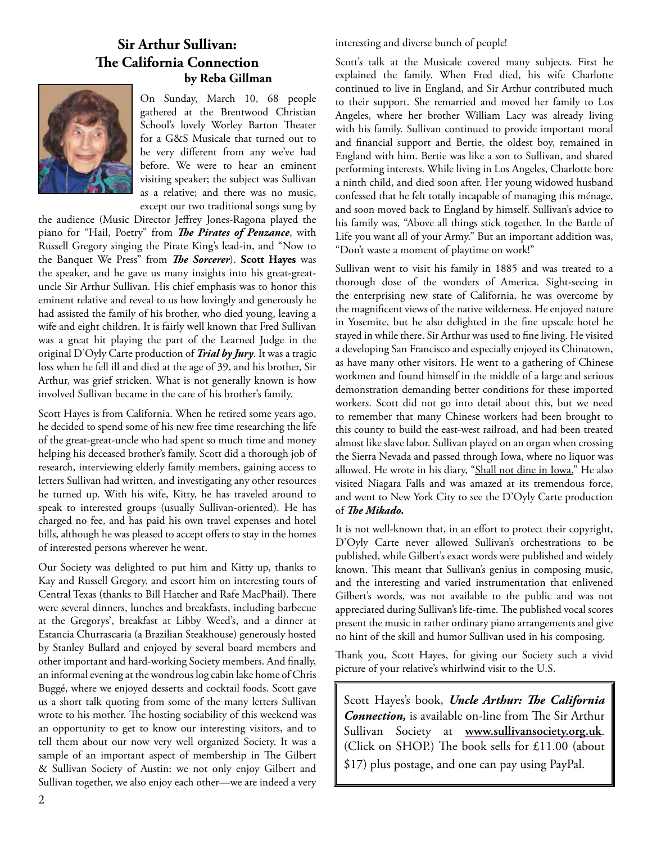### **Sir Arthur Sullivan: The California Connection by Reba Gillman**



On Sunday, March 10, 68 people gathered at the Brentwood Christian School's lovely Worley Barton Theater for a G&S Musicale that turned out to be very different from any we've had before. We were to hear an eminent visiting speaker; the subject was Sullivan as a relative; and there was no music, except our two traditional songs sung by

the audience (Music Director Jeffrey Jones-Ragona played the piano for "Hail, Poetry" from *The Pirates of Penzance*, with Russell Gregory singing the Pirate King's lead-in, and "Now to the Banquet We Press" from *The Sorcerer*). Scott Hayes was the speaker, and he gave us many insights into his great-greatuncle Sir Arthur Sullivan. His chief emphasis was to honor this eminent relative and reveal to us how lovingly and generously he had assisted the family of his brother, who died young, leaving a wife and eight children. It is fairly well known that Fred Sullivan was a great hit playing the part of the Learned Judge in the original D'Oyly Carte production of *Trial by Jury*. It was a tragic loss when he fell ill and died at the age of 39, and his brother, Sir Arthur, was grief stricken. What is not generally known is how involved Sullivan became in the care of his brother's family.

Scott Hayes is from California. When he retired some years ago, he decided to spend some of his new free time researching the life of the great-great-uncle who had spent so much time and money helping his deceased brother's family. Scott did a thorough job of research, interviewing elderly family members, gaining access to letters Sullivan had written, and investigating any other resources he turned up. With his wife, Kitty, he has traveled around to speak to interested groups (usually Sullivan-oriented). He has charged no fee, and has paid his own travel expenses and hotel bills, although he was pleased to accept offers to stay in the homes of interested persons wherever he went.

Our Society was delighted to put him and Kitty up, thanks to Kay and Russell Gregory, and escort him on interesting tours of Central Texas (thanks to Bill Hatcher and Rafe MacPhail). There were several dinners, lunches and breakfasts, including barbecue at the Gregorys', breakfast at Libby Weed's, and a dinner at Estancia Churrascaria (a Brazilian Steakhouse) generously hosted by Stanley Bullard and enjoyed by several board members and other important and hard-working Society members. And finally, an informal evening at the wondrous log cabin lake home of Chris Buggé, where we enjoyed desserts and cocktail foods. Scott gave us a short talk quoting from some of the many letters Sullivan wrote to his mother. The hosting sociability of this weekend was an opportunity to get to know our interesting visitors, and to tell them about our now very well organized Society. It was a sample of an important aspect of membership in The Gilbert & Sullivan Society of Austin: we not only enjoy Gilbert and Sullivan together, we also enjoy each other—we are indeed a very

interesting and diverse bunch of people!

Scott's talk at the Musicale covered many subjects. First he explained the family. When Fred died, his wife Charlotte continued to live in England, and Sir Arthur contributed much to their support. She remarried and moved her family to Los Angeles, where her brother William Lacy was already living with his family. Sullivan continued to provide important moral and financial support and Bertie, the oldest boy, remained in England with him. Bertie was like a son to Sullivan, and shared performing interests. While living in Los Angeles, Charlotte bore a ninth child, and died soon after. Her young widowed husband confessed that he felt totally incapable of managing this ménage, and soon moved back to England by himself. Sullivan's advice to his family was, "Above all things stick together. In the Battle of Life you want all of your Army." But an important addition was, "Don't waste a moment of playtime on work!"

Sullivan went to visit his family in 1885 and was treated to a thorough dose of the wonders of America. Sight-seeing in the enterprising new state of California, he was overcome by the magnificent views of the native wilderness. He enjoyed nature in Yosemite, but he also delighted in the fine upscale hotel he stayed in while there. Sir Arthur was used to fine living. He visited a developing San Francisco and especially enjoyed its Chinatown, as have many other visitors. He went to a gathering of Chinese workmen and found himself in the middle of a large and serious demonstration demanding better conditions for these imported workers. Scott did not go into detail about this, but we need to remember that many Chinese workers had been brought to this county to build the east-west railroad, and had been treated almost like slave labor. Sullivan played on an organ when crossing the Sierra Nevada and passed through Iowa, where no liquor was allowed. He wrote in his diary, "Shall not dine in Iowa." He also visited Niagara Falls and was amazed at its tremendous force, and went to New York City to see the D'Oyly Carte production of *The Mikado*.

It is not well-known that, in an effort to protect their copyright, D'Oyly Carte never allowed Sullivan's orchestrations to be published, while Gilbert's exact words were published and widely known. This meant that Sullivan's genius in composing music, and the interesting and varied instrumentation that enlivened Gilbert's words, was not available to the public and was not appreciated during Sullivan's life-time. The published vocal scores present the music in rather ordinary piano arrangements and give no hint of the skill and humor Sullivan used in his composing.

Thank you, Scott Hayes, for giving our Society such a vivid picture of your relative's whirlwind visit to the U.S.

Scott Hayes's book, *Uncle Arthur: The California* **Connection,** is available on-line from The Sir Arthur Sullivan Society at **www.sullivansociety.org.uk**. (Click on SHOP.) The book sells for  $£11.00$  (about \$17) plus postage, and one can pay using PayPal.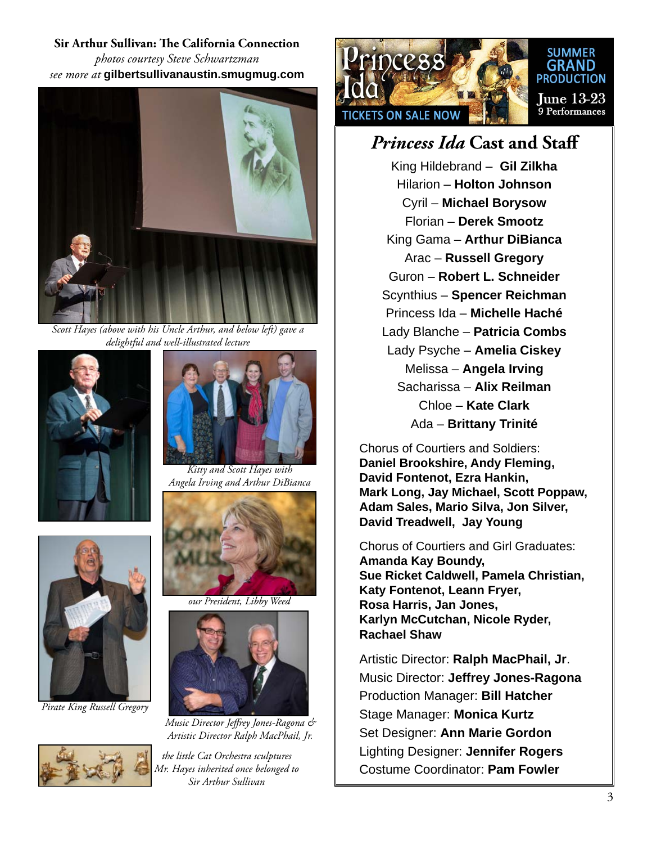### **Sir Arthur Sullivan: The California Connection** *photos courtesy Steve Schwartzman see more at* **gilbertsullivanaustin.smugmug.com**



*Scott Hayes (above with his Uncle Arthur, and below left) gave a delightful and well-illustrated lecture* 





*Pirate King Russell Gregory*





*Kitty and Scott Hayes with Angela Irving and Arthur DiBianca*



*our President, Libby Weed*



*Music Director Jeff rey Jones-Ragona & Artistic Director Ralph MacPhail, Jr.*

*the little Cat Orchestra sculptures Mr. Hayes inherited once belonged to Sir Arthur Sullivan*



#### **SUMMER GRAND PRODUCTION**

**Iune 13-23** 9 Performances

### *Princess Ida* **Cast and Staff**

King Hildebrand – **Gil Zilkha** Hilarion – **Holton Johnson** Cyril – **Michael Borysow** Florian – **Derek Smootz** King Gama – **Arthur DiBianca** Arac – **Russell Gregory** Guron – **Robert L. Schneider** Scynthius – **Spencer Reichman** Princess Ida – **Michelle Haché** Lady Blanche – **Patricia Combs** Lady Psyche – **Amelia Ciskey** Melissa – **Angela Irving** Sacharissa – **Alix Reilman** Chloe – **Kate Clark** Ada – **Brittany Trinité**

Chorus of Courtiers and Soldiers: **Daniel Brookshire, Andy Fleming, David Fontenot, Ezra Hankin, Mark Long, Jay Michael, Scott Poppaw, Adam Sales, Mario Silva, Jon Silver, David Treadwell, Jay Young**

Chorus of Courtiers and Girl Graduates: **Amanda Kay Boundy, Sue Ricket Caldwell, Pamela Christian, Katy Fontenot, Leann Fryer, Rosa Harris, Jan Jones, Karlyn McCutchan, Nicole Ryder, Rachael Shaw**

Artistic Director: **Ralph MacPhail, Jr**. Music Director: **Jeffrey Jones-Ragona** Production Manager: **Bill Hatcher** Stage Manager: **Monica Kurtz** Set Designer: **Ann Marie Gordon** Lighting Designer: **Jennifer Rogers** Costume Coordinator: **Pam Fowler**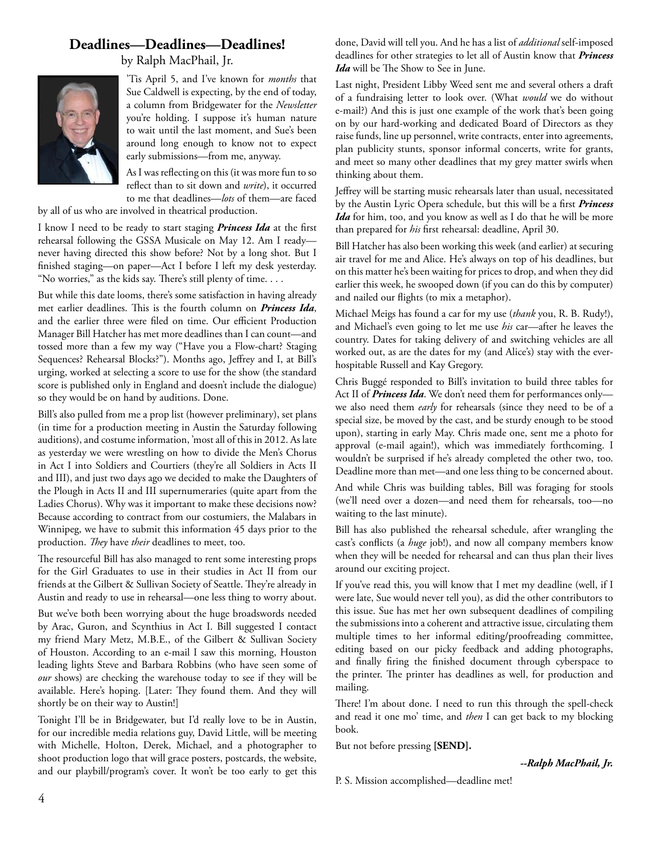#### **Deadlines—Deadlines—Deadlines!**

by Ralph MacPhail, Jr.



'Tis April 5, and I've known for *months* that Sue Caldwell is expecting, by the end of today, a column from Bridgewater for the *Newsletter*  you're holding. I suppose it's human nature to wait until the last moment, and Sue's been around long enough to know not to expect early submissions—from me, anyway.

As I was reflecting on this (it was more fun to so reflect than to sit down and *write*), it occurred to me that deadlines—*lots* of them—are faced

by all of us who are involved in theatrical production.

I know I need to be ready to start staging *Princess Ida* at the first rehearsal following the GSSA Musicale on May 12. Am I ready never having directed this show before? Not by a long shot. But I finished staging—on paper—Act I before I left my desk yesterday. "No worries," as the kids say. There's still plenty of time. . . .

But while this date looms, there's some satisfaction in having already met earlier deadlines. This is the fourth column on *Princess Ida*, and the earlier three were filed on time. Our efficient Production Manager Bill Hatcher has met more deadlines than I can count—and tossed more than a few my way ("Have you a Flow-chart? Staging Sequences? Rehearsal Blocks?"). Months ago, Jeffrey and I, at Bill's urging, worked at selecting a score to use for the show (the standard score is published only in England and doesn't include the dialogue) so they would be on hand by auditions. Done.

Bill's also pulled from me a prop list (however preliminary), set plans (in time for a production meeting in Austin the Saturday following auditions), and costume information, 'most all of this in 2012. As late as yesterday we were wrestling on how to divide the Men's Chorus in Act I into Soldiers and Courtiers (they're all Soldiers in Acts II and III), and just two days ago we decided to make the Daughters of the Plough in Acts II and III supernumeraries (quite apart from the Ladies Chorus). Why was it important to make these decisions now? Because according to contract from our costumiers, the Malabars in Winnipeg, we have to submit this information 45 days prior to the production. *They* have *their* deadlines to meet, too.

The resourceful Bill has also managed to rent some interesting props for the Girl Graduates to use in their studies in Act II from our friends at the Gilbert & Sullivan Society of Seattle. They're already in Austin and ready to use in rehearsal—one less thing to worry about.

But we've both been worrying about the huge broadswords needed by Arac, Guron, and Scynthius in Act I. Bill suggested I contact my friend Mary Metz, M.B.E., of the Gilbert & Sullivan Society of Houston. According to an e-mail I saw this morning, Houston leading lights Steve and Barbara Robbins (who have seen some of *our* shows) are checking the warehouse today to see if they will be available. Here's hoping. [Later: They found them. And they will shortly be on their way to Austin!]

Tonight I'll be in Bridgewater, but I'd really love to be in Austin, for our incredible media relations guy, David Little, will be meeting with Michelle, Holton, Derek, Michael, and a photographer to shoot production logo that will grace posters, postcards, the website, and our playbill/program's cover. It won't be too early to get this

done, David will tell you. And he has a list of *additional* self-imposed deadlines for other strategies to let all of Austin know that *Princess Ida* will be The Show to See in June.

Last night, President Libby Weed sent me and several others a draft of a fundraising letter to look over. (What *would* we do without e-mail?) And this is just one example of the work that's been going on by our hard-working and dedicated Board of Directors as they raise funds, line up personnel, write contracts, enter into agreements, plan publicity stunts, sponsor informal concerts, write for grants, and meet so many other deadlines that my grey matter swirls when thinking about them.

Jeffrey will be starting music rehearsals later than usual, necessitated by the Austin Lyric Opera schedule, but this will be a first *Princess Ida* for him, too, and you know as well as I do that he will be more than prepared for *his* first rehearsal: deadline, April 30.

Bill Hatcher has also been working this week (and earlier) at securing air travel for me and Alice. He's always on top of his deadlines, but on this matter he's been waiting for prices to drop, and when they did earlier this week, he swooped down (if you can do this by computer) and nailed our flights (to mix a metaphor).

Michael Meigs has found a car for my use (*thank* you, R. B. Rudy!), and Michael's even going to let me use *his* car—after he leaves the country. Dates for taking delivery of and switching vehicles are all worked out, as are the dates for my (and Alice's) stay with the everhospitable Russell and Kay Gregory.

Chris Buggé responded to Bill's invitation to build three tables for Act II of *Princess Ida*. We don't need them for performances only we also need them *early* for rehearsals (since they need to be of a special size, be moved by the cast, and be sturdy enough to be stood upon), starting in early May. Chris made one, sent me a photo for approval (e-mail again!), which was immediately forthcoming. I wouldn't be surprised if he's already completed the other two, too. Deadline more than met—and one less thing to be concerned about.

And while Chris was building tables, Bill was foraging for stools (we'll need over a dozen—and need them for rehearsals, too—no waiting to the last minute).

Bill has also published the rehearsal schedule, after wrangling the cast's conflicts (a *huge* job!), and now all company members know when they will be needed for rehearsal and can thus plan their lives around our exciting project.

If you've read this, you will know that I met my deadline (well, if I were late, Sue would never tell you), as did the other contributors to this issue. Sue has met her own subsequent deadlines of compiling the submissions into a coherent and attractive issue, circulating them multiple times to her informal editing/proofreading committee, editing based on our picky feedback and adding photographs, and finally firing the finished document through cyberspace to the printer. The printer has deadlines as well, for production and mailing.

There! I'm about done. I need to run this through the spell-check and read it one mo' time, and *then* I can get back to my blocking book.

But not before pressing **[SEND].**

*--Ralph MacPhail, Jr.*

P. S. Mission accomplished—deadline met!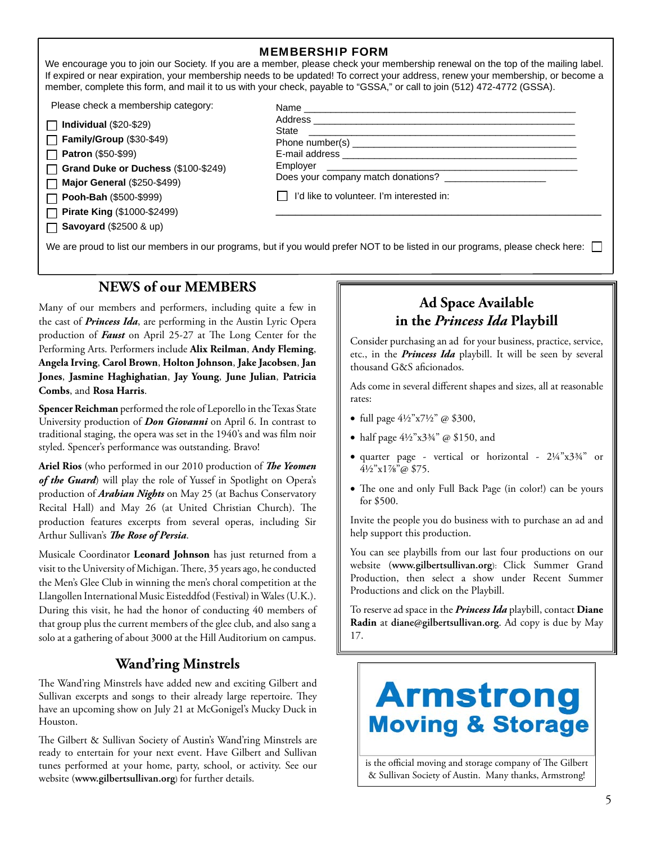| <b>MEMBERSHIP FORM</b> |  |
|------------------------|--|
|------------------------|--|

We encourage you to join our Society. If you are a member, please check your membership renewal on the top of the mailing label. If expired or near expiration, your membership needs to be updated! To correct your address, renew your membership, or become a member, complete this form, and mail it to us with your check, payable to "GSSA," or call to join (512) 472-4772 (GSSA).

Please check a membership category:

| $\Box$ Individual (\$20-\$29) |  |
|-------------------------------|--|
| Family/Group (\$30-\$49)      |  |

**Patron** (\$50-\$99)

**Grand Duke or Duchess** (\$100-\$249)  $\Box$ 

**Major General** (\$250-\$499)

**Pooh-Bah** (\$500-\$999)

 $\Box$ 

**Pirate King** (\$1000-\$2499) **Savoyard** (\$2500 & up)

| Name                                      |  |
|-------------------------------------------|--|
|                                           |  |
| State                                     |  |
|                                           |  |
|                                           |  |
|                                           |  |
| Does your company match donations?        |  |
| I'd like to volunteer. I'm interested in: |  |
|                                           |  |

We are proud to list our members in our programs, but if you would prefer NOT to be listed in our programs, please check here:

### **NEWS of our MEMBERS**

Many of our members and performers, including quite a few in the cast of *Princess Ida*, are performing in the Austin Lyric Opera production of **Faust** on April 25-27 at The Long Center for the Performing Arts. Performers include **Alix Reilman**, **Andy Fleming**, **Angela Irving**, **Carol Brown**, **Holton Johnson**, **Jake Jacobsen**, **Jan Jones**, **Jasmine Haghighatian**, **Jay Young**, **June Julian**, **Patricia Combs**, and **Rosa Harris**.

**Spencer Reichman** performed the role of Leporello in the Texas State University production of *Don Giovanni* on April 6. In contrast to traditional staging, the opera was set in the 1940's and was film noir styled. Spencer's performance was outstanding. Bravo!

Ariel Rios (who performed in our 2010 production of *The Yeomen of the Guard*) will play the role of Yussef in Spotlight on Opera's production of *Arabian Nights* on May 25 (at Bachus Conservatory Recital Hall) and May 26 (at United Christian Church). The production features excerpts from several operas, including Sir Arthur Sullivan's **The Rose of Persia**.

Musicale Coordinator **Leonard Johnson** has just returned from a visit to the University of Michigan. There, 35 years ago, he conducted the Men's Glee Club in winning the men's choral competition at the Llangollen International Music Eisteddfod (Festival) in Wales (U.K.). During this visit, he had the honor of conducting 40 members of that group plus the current members of the glee club, and also sang a solo at a gathering of about 3000 at the Hill Auditorium on campus.

### **Wand'ring Minstrels**

The Wand'ring Minstrels have added new and exciting Gilbert and Sullivan excerpts and songs to their already large repertoire. They have an upcoming show on July 21 at McGonigel's Mucky Duck in Houston.

The Gilbert & Sullivan Society of Austin's Wand'ring Minstrels are ready to entertain for your next event. Have Gilbert and Sullivan tunes performed at your home, party, school, or activity. See our website (**www.gilbertsullivan.org**) for further details.

### **Ad Space Available in the** *Princess Ida* **Playbill**

Consider purchasing an ad for your business, practice, service, etc., in the *Princess Ida* playbill. It will be seen by several thousand G&S aficionados.

Ads come in several different shapes and sizes, all at reasonable rates:

- full page  $4\frac{1}{2}$ " x7½" @ \$300,
- half page  $4\frac{1}{2}$ "x3¼" @ \$150, and
- quarter page vertical or horizontal 2¼"x3¾" or 4½"x1⅞"@ \$75.
- The one and only Full Back Page (in color!) can be yours for \$500.

Invite the people you do business with to purchase an ad and help support this production.

You can see playbills from our last four productions on our website (**www.gilbertsullivan.org**): Click Summer Grand Production, then select a show under Recent Summer Productions and click on the Playbill.

To reserve ad space in the *Princess Ida* playbill, contact **Diane Radin** at **diane@gilbertsullivan.org**. Ad copy is due by May 17.

# **Armstrong Moving & Storage**

is the official moving and storage company of The Gilbert & Sullivan Society of Austin. Many thanks, Armstrong!